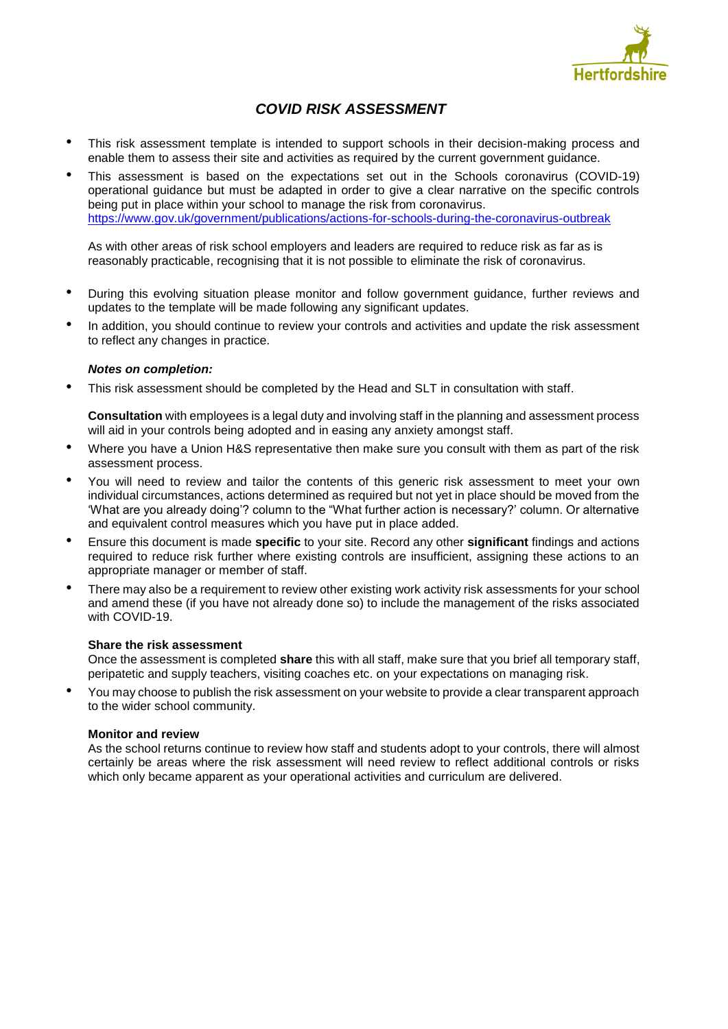

# *COVID RISK ASSESSMENT*

- This risk assessment template is intended to support schools in their decision-making process and enable them to assess their site and activities as required by the current government guidance.
- This assessment is based on the expectations set out in the Schools coronavirus (COVID-19) operational guidance but must be adapted in order to give a clear narrative on the specific controls being put in place within your school to manage the risk from coronavirus. <https://www.gov.uk/government/publications/actions-for-schools-during-the-coronavirus-outbreak>

As with other areas of risk school employers and leaders are required to reduce risk as far as is reasonably practicable, recognising that it is not possible to eliminate the risk of coronavirus.

- During this evolving situation please monitor and follow government guidance, further reviews and updates to the template will be made following any significant updates.
- In addition, you should continue to review your controls and activities and update the risk assessment to reflect any changes in practice.

### *Notes on completion:*

• This risk assessment should be completed by the Head and SLT in consultation with staff.

**Consultation** with employees is a legal duty and involving staff in the planning and assessment process will aid in your controls being adopted and in easing any anxiety amongst staff.

- Where you have a Union H&S representative then make sure you consult with them as part of the risk assessment process.
- You will need to review and tailor the contents of this generic risk assessment to meet your own individual circumstances, actions determined as required but not yet in place should be moved from the 'What are you already doing'? column to the "What further action is necessary?' column. Or alternative and equivalent control measures which you have put in place added.
- Ensure this document is made **specific** to your site. Record any other **significant** findings and actions required to reduce risk further where existing controls are insufficient, assigning these actions to an appropriate manager or member of staff.
- There may also be a requirement to review other existing work activity risk assessments for your school and amend these (if you have not already done so) to include the management of the risks associated with COVID-19.

### **Share the risk assessment**

Once the assessment is completed **share** this with all staff, make sure that you brief all temporary staff, peripatetic and supply teachers, visiting coaches etc. on your expectations on managing risk.

• You may choose to publish the risk assessment on your website to provide a clear transparent approach to the wider school community.

### **Monitor and review**

As the school returns continue to review how staff and students adopt to your controls, there will almost certainly be areas where the risk assessment will need review to reflect additional controls or risks which only became apparent as your operational activities and curriculum are delivered.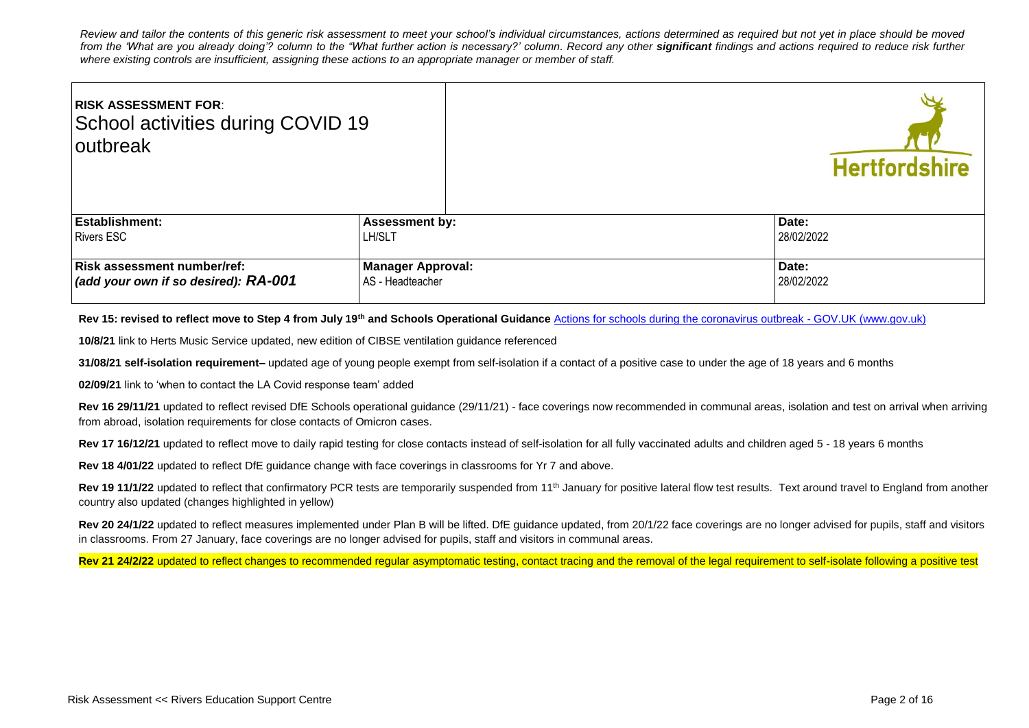*Review and tailor the contents of this generic risk assessment to meet your school's individual circumstances, actions determined as required but not yet in place should be moved*  from the 'What are you already doing'? column to the "What further action is necessary?' column. Record any other **significant** findings and actions required to reduce risk further *where existing controls are insufficient, assigning these actions to an appropriate manager or member of staff.* 

| <b>RISK ASSESSMENT FOR:</b><br>School activities during COVID 19<br>loutbreak      |                                              |  | <b>Hertfordshire</b> |
|------------------------------------------------------------------------------------|----------------------------------------------|--|----------------------|
| <b>Establishment:</b>                                                              | <b>Assessment by:</b>                        |  | Date:                |
| <b>Rivers ESC</b>                                                                  | <b>LH/SLT</b>                                |  | 28/02/2022           |
| <b>Risk assessment number/ref:</b><br>$\vert$ (add your own if so desired): RA-001 | <b>Manager Approval:</b><br>AS - Headteacher |  | Date:<br>28/02/2022  |

**Rev 15: revised to reflect move to Step 4 from July 19th and Schools Operational Guidance** [Actions for schools during the coronavirus outbreak -](https://www.gov.uk/government/publications/actions-for-schools-during-the-coronavirus-outbreak) GOV.UK (www.gov.uk)

**10/8/21** link to Herts Music Service updated, new edition of CIBSE ventilation guidance referenced

**31/08/21 self-isolation requirement–** updated age of young people exempt from self-isolation if a contact of a positive case to under the age of 18 years and 6 months

**02/09/21** link to 'when to contact the LA Covid response team' added

**Rev 16 29/11/21** updated to reflect revised DfE Schools operational guidance (29/11/21) - face coverings now recommended in communal areas, isolation and test on arrival when arriving from abroad, isolation requirements for close contacts of Omicron cases.

Rev 17 16/12/21 updated to reflect move to daily rapid testing for close contacts instead of self-isolation for all fully vaccinated adults and children aged 5 - 18 years 6 months

**Rev 18 4/01/22** updated to reflect DfE guidance change with face coverings in classrooms for Yr 7 and above.

Rev 19 11/1/22 updated to reflect that confirmatory PCR tests are temporarily suspended from 11<sup>th</sup> January for positive lateral flow test results. Text around travel to England from another country also updated (changes highlighted in yellow)

Rev 20 24/1/22 updated to reflect measures implemented under Plan B will be lifted. DfE guidance updated, from 20/1/22 face coverings are no longer advised for pupils, staff and visitors in classrooms. From 27 January, face coverings are no longer advised for pupils, staff and visitors in communal areas.

Rev 21 24/2/22 updated to reflect changes to recommended regular asymptomatic testing, contact tracing and the removal of the legal requirement to self-isolate following a positive test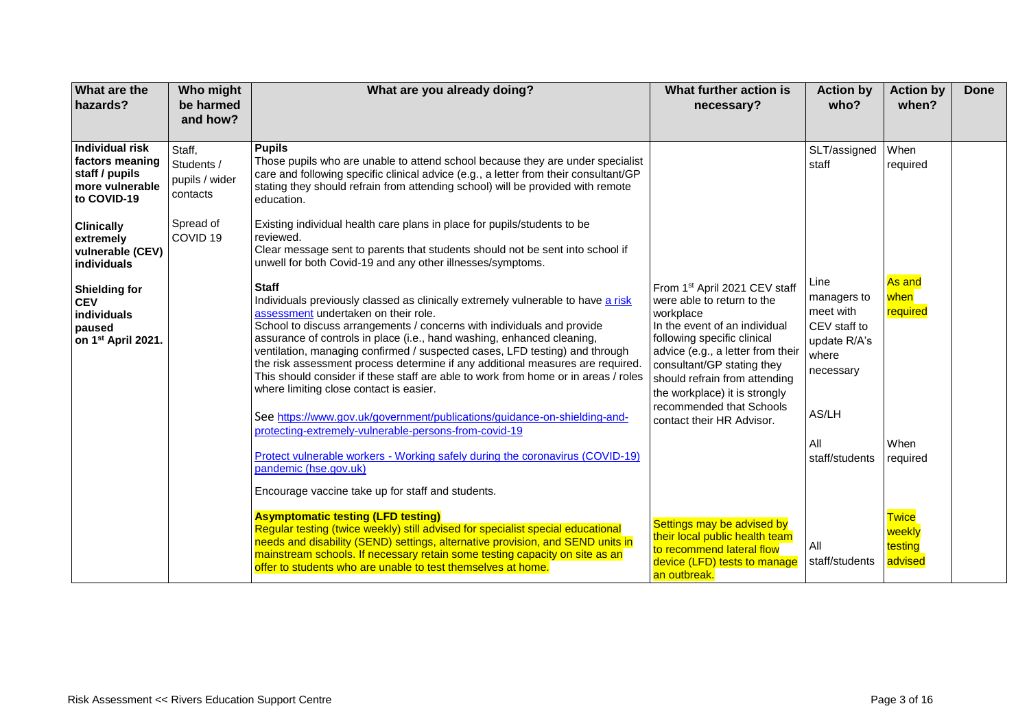| What are the<br>hazards?                                                                      | Who might<br>be harmed<br>and how?                 | What are you already doing?                                                                                                                                                                                                                                                                                                                                                                                                                                                                                                                                                                                                                                                                                                          | What further action is<br>necessary?                                                                                                                                                                                                                                                                                                   | <b>Action by</b><br>who?                                                                        | <b>Action by</b><br>when?                    | <b>Done</b> |
|-----------------------------------------------------------------------------------------------|----------------------------------------------------|--------------------------------------------------------------------------------------------------------------------------------------------------------------------------------------------------------------------------------------------------------------------------------------------------------------------------------------------------------------------------------------------------------------------------------------------------------------------------------------------------------------------------------------------------------------------------------------------------------------------------------------------------------------------------------------------------------------------------------------|----------------------------------------------------------------------------------------------------------------------------------------------------------------------------------------------------------------------------------------------------------------------------------------------------------------------------------------|-------------------------------------------------------------------------------------------------|----------------------------------------------|-------------|
| Individual risk<br>factors meaning<br>staff / pupils<br>more vulnerable<br>to COVID-19        | Staff,<br>Students /<br>pupils / wider<br>contacts | <b>Pupils</b><br>Those pupils who are unable to attend school because they are under specialist<br>care and following specific clinical advice (e.g., a letter from their consultant/GP<br>stating they should refrain from attending school) will be provided with remote<br>education.                                                                                                                                                                                                                                                                                                                                                                                                                                             |                                                                                                                                                                                                                                                                                                                                        | SLT/assigned<br>staff                                                                           | When<br>required                             |             |
| <b>Clinically</b><br>extremely<br>vulnerable (CEV)<br>individuals                             | Spread of<br>COVID <sub>19</sub>                   | Existing individual health care plans in place for pupils/students to be<br>reviewed.<br>Clear message sent to parents that students should not be sent into school if<br>unwell for both Covid-19 and any other illnesses/symptoms.                                                                                                                                                                                                                                                                                                                                                                                                                                                                                                 |                                                                                                                                                                                                                                                                                                                                        |                                                                                                 |                                              |             |
| <b>Shielding for</b><br><b>CEV</b><br>individuals<br>paused<br>on 1 <sup>st</sup> April 2021. |                                                    | <b>Staff</b><br>Individuals previously classed as clinically extremely vulnerable to have a risk<br>assessment undertaken on their role.<br>School to discuss arrangements / concerns with individuals and provide<br>assurance of controls in place (i.e., hand washing, enhanced cleaning,<br>ventilation, managing confirmed / suspected cases, LFD testing) and through<br>the risk assessment process determine if any additional measures are required.<br>This should consider if these staff are able to work from home or in areas / roles<br>where limiting close contact is easier.<br>See https://www.gov.uk/government/publications/guidance-on-shielding-and-<br>protecting-extremely-vulnerable-persons-from-covid-19 | From 1st April 2021 CEV staff<br>were able to return to the<br>workplace<br>In the event of an individual<br>following specific clinical<br>advice (e.g., a letter from their<br>consultant/GP stating they<br>should refrain from attending<br>the workplace) it is strongly<br>recommended that Schools<br>contact their HR Advisor. | Line<br>managers to<br>meet with<br>CEV staff to<br>update R/A's<br>where<br>necessary<br>AS/LH | As and<br>when<br>required                   |             |
|                                                                                               |                                                    | Protect vulnerable workers - Working safely during the coronavirus (COVID-19)<br>pandemic (hse.gov.uk)<br>Encourage vaccine take up for staff and students.                                                                                                                                                                                                                                                                                                                                                                                                                                                                                                                                                                          |                                                                                                                                                                                                                                                                                                                                        | All<br>staff/students                                                                           | When<br>required                             |             |
|                                                                                               |                                                    | <b>Asymptomatic testing (LFD testing)</b><br>Regular testing (twice weekly) still advised for specialist special educational<br>needs and disability (SEND) settings, alternative provision, and SEND units in<br>mainstream schools. If necessary retain some testing capacity on site as an<br>offer to students who are unable to test themselves at home.                                                                                                                                                                                                                                                                                                                                                                        | Settings may be advised by<br>their local public health team<br>to recommend lateral flow<br>device (LFD) tests to manage<br>an outbreak.                                                                                                                                                                                              | All<br>staff/students                                                                           | <b>Twice</b><br>weekly<br>testing<br>advised |             |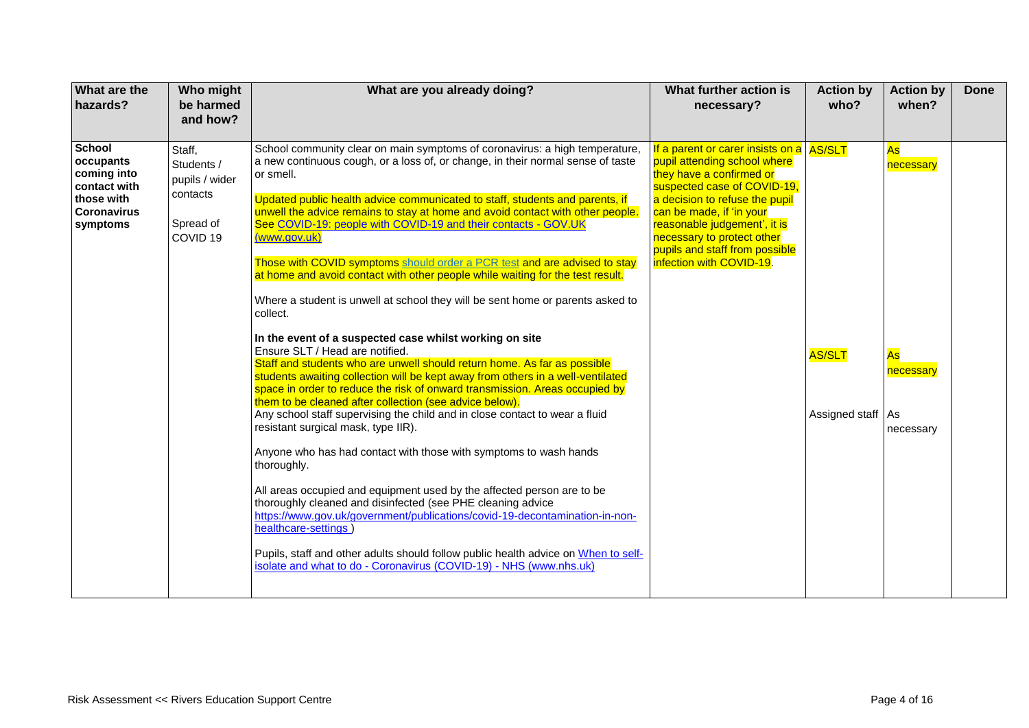| What are the<br>hazards?                                                                                  | Who might<br>be harmed<br>and how?                                                     | What are you already doing?                                                                                                                                                                                                                                                                                                                                                                                                                                                                                                                                                                                                                                                                                                                                                                                                                                                                                                                                                                                                                                                                                                                                                                                                                                                                                                                                                                                                                                                                                                                                                                                                                                                                                               | What further action is<br>necessary?                                                                                                                                                                                                                                                                                          | <b>Action by</b><br>who?             | <b>Action by</b><br>when?                       | <b>Done</b> |
|-----------------------------------------------------------------------------------------------------------|----------------------------------------------------------------------------------------|---------------------------------------------------------------------------------------------------------------------------------------------------------------------------------------------------------------------------------------------------------------------------------------------------------------------------------------------------------------------------------------------------------------------------------------------------------------------------------------------------------------------------------------------------------------------------------------------------------------------------------------------------------------------------------------------------------------------------------------------------------------------------------------------------------------------------------------------------------------------------------------------------------------------------------------------------------------------------------------------------------------------------------------------------------------------------------------------------------------------------------------------------------------------------------------------------------------------------------------------------------------------------------------------------------------------------------------------------------------------------------------------------------------------------------------------------------------------------------------------------------------------------------------------------------------------------------------------------------------------------------------------------------------------------------------------------------------------------|-------------------------------------------------------------------------------------------------------------------------------------------------------------------------------------------------------------------------------------------------------------------------------------------------------------------------------|--------------------------------------|-------------------------------------------------|-------------|
| <b>School</b><br>occupants<br>coming into<br>contact with<br>those with<br><b>Coronavirus</b><br>symptoms | Staff,<br>Students /<br>pupils / wider<br>contacts<br>Spread of<br>COVID <sub>19</sub> | School community clear on main symptoms of coronavirus: a high temperature,<br>a new continuous cough, or a loss of, or change, in their normal sense of taste<br>or smell.<br>Updated public health advice communicated to staff, students and parents, if<br>unwell the advice remains to stay at home and avoid contact with other people.<br>See COVID-19: people with COVID-19 and their contacts - GOV.UK<br>(www.gov.uk)<br>Those with COVID symptoms should order a PCR test and are advised to stay<br>at home and avoid contact with other people while waiting for the test result.<br>Where a student is unwell at school they will be sent home or parents asked to<br>collect.<br>In the event of a suspected case whilst working on site<br>Ensure SLT / Head are notified.<br>Staff and students who are unwell should return home. As far as possible<br>students awaiting collection will be kept away from others in a well-ventilated<br>space in order to reduce the risk of onward transmission. Areas occupied by<br>them to be cleaned after collection (see advice below).<br>Any school staff supervising the child and in close contact to wear a fluid<br>resistant surgical mask, type IIR).<br>Anyone who has had contact with those with symptoms to wash hands<br>thoroughly.<br>All areas occupied and equipment used by the affected person are to be<br>thoroughly cleaned and disinfected (see PHE cleaning advice<br>https://www.gov.uk/government/publications/covid-19-decontamination-in-non-<br>healthcare-settings)<br>Pupils, staff and other adults should follow public health advice on When to self-<br>isolate and what to do - Coronavirus (COVID-19) - NHS (www.nhs.uk) | If a parent or carer insists on a AS/SLT<br>pupil attending school where<br>they have a confirmed or<br>suspected case of COVID-19,<br>a decision to refuse the pupil<br>can be made, if 'in your<br>reasonable judgement', it is<br>necessary to protect other<br>pupils and staff from possible<br>infection with COVID-19. | <b>AS/SLT</b><br>Assigned staff   As | As<br>necessary<br>As<br>necessary<br>necessary |             |
|                                                                                                           |                                                                                        |                                                                                                                                                                                                                                                                                                                                                                                                                                                                                                                                                                                                                                                                                                                                                                                                                                                                                                                                                                                                                                                                                                                                                                                                                                                                                                                                                                                                                                                                                                                                                                                                                                                                                                                           |                                                                                                                                                                                                                                                                                                                               |                                      |                                                 |             |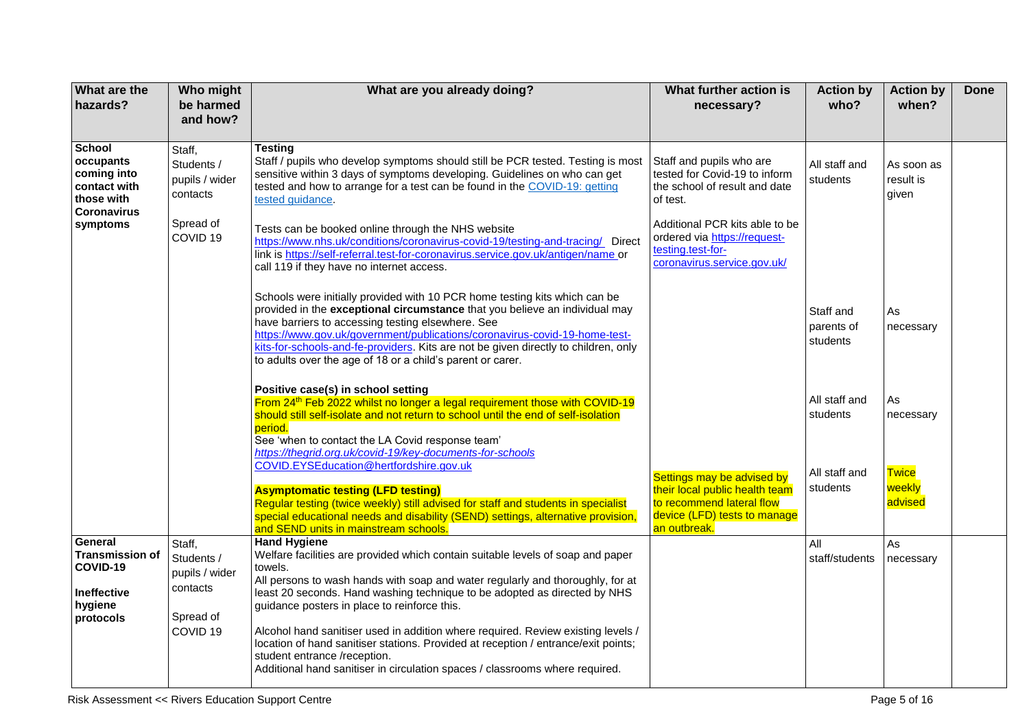| What are the<br>hazards?                                                                                  | Who might<br>be harmed<br>and how?                                                     | What are you already doing?                                                                                                                                                                                                                                                                                                                                                                                                                                                                                                                                                                                                                                           | What further action is<br>necessary?                                                                                                      | <b>Action by</b><br>who?                               | <b>Action by</b><br>when?                            | <b>Done</b> |
|-----------------------------------------------------------------------------------------------------------|----------------------------------------------------------------------------------------|-----------------------------------------------------------------------------------------------------------------------------------------------------------------------------------------------------------------------------------------------------------------------------------------------------------------------------------------------------------------------------------------------------------------------------------------------------------------------------------------------------------------------------------------------------------------------------------------------------------------------------------------------------------------------|-------------------------------------------------------------------------------------------------------------------------------------------|--------------------------------------------------------|------------------------------------------------------|-------------|
| <b>School</b><br>occupants<br>coming into<br>contact with<br>those with<br><b>Coronavirus</b><br>symptoms | Staff,<br>Students /<br>pupils / wider<br>contacts<br>Spread of                        | Testina<br>Staff / pupils who develop symptoms should still be PCR tested. Testing is most<br>sensitive within 3 days of symptoms developing. Guidelines on who can get<br>tested and how to arrange for a test can be found in the COVID-19: getting<br>tested guidance.<br>Tests can be booked online through the NHS website                                                                                                                                                                                                                                                                                                                                       | Staff and pupils who are<br>tested for Covid-19 to inform<br>the school of result and date<br>of test.<br>Additional PCR kits able to be  | All staff and<br>students                              | As soon as<br>result is<br>given                     |             |
|                                                                                                           | COVID <sub>19</sub>                                                                    | https://www.nhs.uk/conditions/coronavirus-covid-19/testing-and-tracing/ Direct<br>link is https://self-referral.test-for-coronavirus.service.gov.uk/antigen/name or<br>call 119 if they have no internet access.<br>Schools were initially provided with 10 PCR home testing kits which can be<br>provided in the exceptional circumstance that you believe an individual may<br>have barriers to accessing testing elsewhere. See<br>https://www.gov.uk/government/publications/coronavirus-covid-19-home-test-<br>kits-for-schools-and-fe-providers. Kits are not be given directly to children, only<br>to adults over the age of 18 or a child's parent or carer. | ordered via https://request-<br>testing.test-for-<br>coronavirus.service.gov.uk/                                                          | Staff and<br>parents of<br>students                    | As<br>necessary                                      |             |
|                                                                                                           |                                                                                        | Positive case(s) in school setting<br>From 24 <sup>th</sup> Feb 2022 whilst no longer a legal requirement those with COVID-19<br>should still self-isolate and not return to school until the end of self-isolation<br>period.<br>See 'when to contact the LA Covid response team'<br>https://thegrid.org.uk/covid-19/key-documents-for-schools<br>COVID.EYSEducation@hertfordshire.gov.uk<br><b>Asymptomatic testing (LFD testing)</b><br>Regular testing (twice weekly) still advised for staff and students in specialist<br>special educational needs and disability (SEND) settings, alternative provision,<br>and SEND units in mainstream schools.             | Settings may be advised by<br>their local public health team<br>to recommend lateral flow<br>device (LFD) tests to manage<br>an outbreak. | All staff and<br>students<br>All staff and<br>students | As<br>necessary<br><b>Twice</b><br>weekly<br>advised |             |
| General<br><b>Transmission of</b><br>COVID-19<br>Ineffective<br>hygiene<br>protocols                      | Staff,<br>Students /<br>pupils / wider<br>contacts<br>Spread of<br>COVID <sub>19</sub> | <b>Hand Hygiene</b><br>Welfare facilities are provided which contain suitable levels of soap and paper<br>towels.<br>All persons to wash hands with soap and water regularly and thoroughly, for at<br>least 20 seconds. Hand washing technique to be adopted as directed by NHS<br>guidance posters in place to reinforce this.<br>Alcohol hand sanitiser used in addition where required. Review existing levels /<br>location of hand sanitiser stations. Provided at reception / entrance/exit points;<br>student entrance /reception.<br>Additional hand sanitiser in circulation spaces / classrooms where required.                                            |                                                                                                                                           | All<br>staff/students                                  | As<br>necessary                                      |             |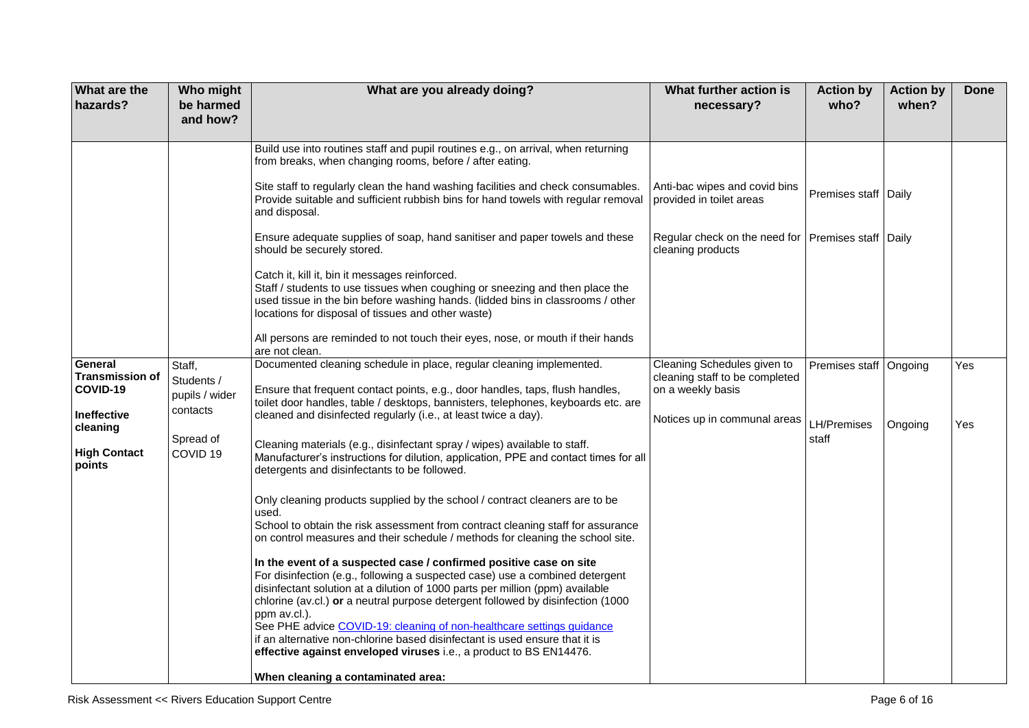| <b>What are the</b><br>hazards?               | Who might<br>be harmed                             | What are you already doing?                                                                                                                                                                                                                                                                                                                                                                                                                                                                                                                                          | What further action is<br>necessary?                                               | <b>Action by</b><br>who? | <b>Action by</b><br>when? | <b>Done</b> |
|-----------------------------------------------|----------------------------------------------------|----------------------------------------------------------------------------------------------------------------------------------------------------------------------------------------------------------------------------------------------------------------------------------------------------------------------------------------------------------------------------------------------------------------------------------------------------------------------------------------------------------------------------------------------------------------------|------------------------------------------------------------------------------------|--------------------------|---------------------------|-------------|
|                                               | and how?                                           |                                                                                                                                                                                                                                                                                                                                                                                                                                                                                                                                                                      |                                                                                    |                          |                           |             |
|                                               |                                                    | Build use into routines staff and pupil routines e.g., on arrival, when returning<br>from breaks, when changing rooms, before / after eating.                                                                                                                                                                                                                                                                                                                                                                                                                        |                                                                                    |                          |                           |             |
|                                               |                                                    | Site staff to regularly clean the hand washing facilities and check consumables.<br>Provide suitable and sufficient rubbish bins for hand towels with regular removal<br>and disposal.                                                                                                                                                                                                                                                                                                                                                                               | Anti-bac wipes and covid bins<br>provided in toilet areas                          | Premises staff   Daily   |                           |             |
|                                               |                                                    | Ensure adequate supplies of soap, hand sanitiser and paper towels and these<br>should be securely stored.                                                                                                                                                                                                                                                                                                                                                                                                                                                            | Regular check on the need for   Premises staff   Daily<br>cleaning products        |                          |                           |             |
|                                               |                                                    | Catch it, kill it, bin it messages reinforced.<br>Staff / students to use tissues when coughing or sneezing and then place the<br>used tissue in the bin before washing hands. (lidded bins in classrooms / other<br>locations for disposal of tissues and other waste)                                                                                                                                                                                                                                                                                              |                                                                                    |                          |                           |             |
|                                               |                                                    | All persons are reminded to not touch their eyes, nose, or mouth if their hands<br>are not clean.                                                                                                                                                                                                                                                                                                                                                                                                                                                                    |                                                                                    |                          |                           |             |
| General<br><b>Transmission of</b><br>COVID-19 | Staff,<br>Students /<br>pupils / wider<br>contacts | Documented cleaning schedule in place, regular cleaning implemented.<br>Ensure that frequent contact points, e.g., door handles, taps, flush handles,<br>toilet door handles, table / desktops, bannisters, telephones, keyboards etc. are                                                                                                                                                                                                                                                                                                                           | Cleaning Schedules given to<br>cleaning staff to be completed<br>on a weekly basis | Premises staff Ongoing   |                           | Yes         |
| Ineffective<br>cleaning                       | Spread of                                          | cleaned and disinfected regularly (i.e., at least twice a day).                                                                                                                                                                                                                                                                                                                                                                                                                                                                                                      | Notices up in communal areas                                                       | LH/Premises<br>staff     | Ongoing                   | Yes         |
| <b>High Contact</b><br>points                 | COVID <sub>19</sub>                                | Cleaning materials (e.g., disinfectant spray / wipes) available to staff.<br>Manufacturer's instructions for dilution, application, PPE and contact times for all<br>detergents and disinfectants to be followed.                                                                                                                                                                                                                                                                                                                                                    |                                                                                    |                          |                           |             |
|                                               |                                                    | Only cleaning products supplied by the school / contract cleaners are to be<br>used.                                                                                                                                                                                                                                                                                                                                                                                                                                                                                 |                                                                                    |                          |                           |             |
|                                               |                                                    | School to obtain the risk assessment from contract cleaning staff for assurance<br>on control measures and their schedule / methods for cleaning the school site.                                                                                                                                                                                                                                                                                                                                                                                                    |                                                                                    |                          |                           |             |
|                                               |                                                    | In the event of a suspected case / confirmed positive case on site<br>For disinfection (e.g., following a suspected case) use a combined detergent<br>disinfectant solution at a dilution of 1000 parts per million (ppm) available<br>chlorine (av.cl.) or a neutral purpose detergent followed by disinfection (1000<br>ppm av.cl.).<br>See PHE advice COVID-19: cleaning of non-healthcare settings guidance<br>if an alternative non-chlorine based disinfectant is used ensure that it is<br>effective against enveloped viruses i.e., a product to BS EN14476. |                                                                                    |                          |                           |             |
|                                               |                                                    | When cleaning a contaminated area:                                                                                                                                                                                                                                                                                                                                                                                                                                                                                                                                   |                                                                                    |                          |                           |             |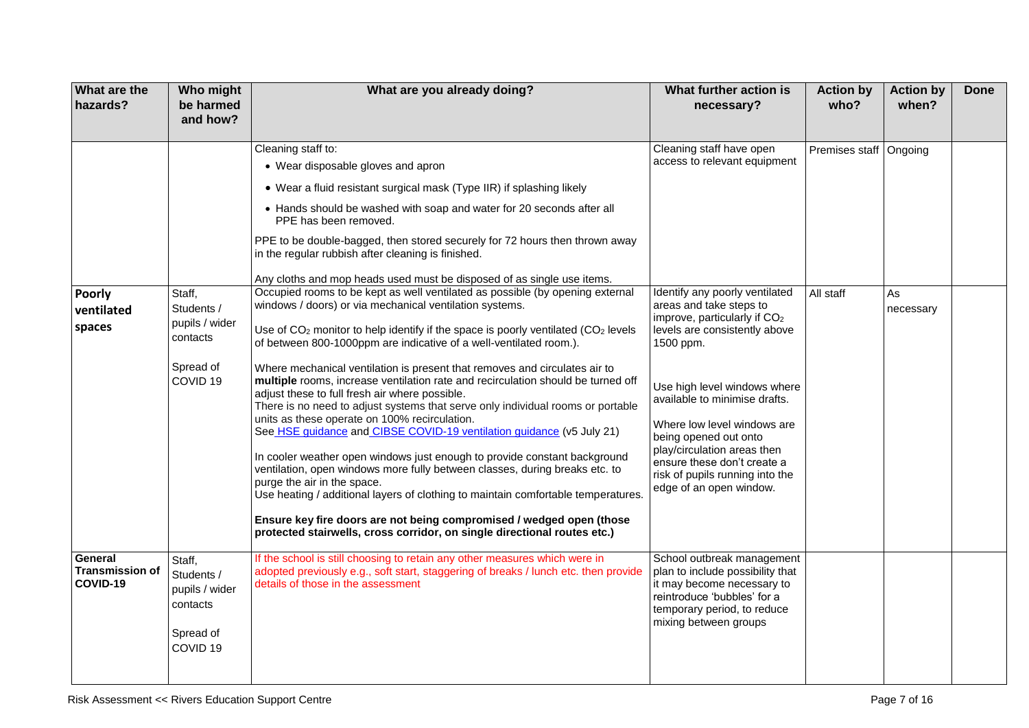| What are the<br>hazards?                      | Who might<br>be harmed<br>and how?                                                     | What are you already doing?                                                                                                                                                                                                                                                                                                                                                                                                                                                                                                                                                                                                                                                                                                                                                                                                                                                                                                                                                                                                                                                                                     | What further action is<br>necessary?                                                                                                                                                                                                                                                                                                                                   | <b>Action by</b><br>who?              | <b>Action by</b><br>when? | <b>Done</b> |
|-----------------------------------------------|----------------------------------------------------------------------------------------|-----------------------------------------------------------------------------------------------------------------------------------------------------------------------------------------------------------------------------------------------------------------------------------------------------------------------------------------------------------------------------------------------------------------------------------------------------------------------------------------------------------------------------------------------------------------------------------------------------------------------------------------------------------------------------------------------------------------------------------------------------------------------------------------------------------------------------------------------------------------------------------------------------------------------------------------------------------------------------------------------------------------------------------------------------------------------------------------------------------------|------------------------------------------------------------------------------------------------------------------------------------------------------------------------------------------------------------------------------------------------------------------------------------------------------------------------------------------------------------------------|---------------------------------------|---------------------------|-------------|
| <b>Poorly</b>                                 | Staff,                                                                                 | Cleaning staff to:<br>• Wear disposable gloves and apron<br>• Wear a fluid resistant surgical mask (Type IIR) if splashing likely<br>• Hands should be washed with soap and water for 20 seconds after all<br>PPE has been removed.<br>PPE to be double-bagged, then stored securely for 72 hours then thrown away<br>in the regular rubbish after cleaning is finished.<br>Any cloths and mop heads used must be disposed of as single use items.<br>Occupied rooms to be kept as well ventilated as possible (by opening external                                                                                                                                                                                                                                                                                                                                                                                                                                                                                                                                                                             | Cleaning staff have open<br>access to relevant equipment<br>Identify any poorly ventilated                                                                                                                                                                                                                                                                             | Premises staff   Ongoing<br>All staff | As                        |             |
| ventilated<br>spaces                          | Students /<br>pupils / wider<br>contacts<br>Spread of<br>COVID <sub>19</sub>           | windows / doors) or via mechanical ventilation systems.<br>Use of CO <sub>2</sub> monitor to help identify if the space is poorly ventilated (CO <sub>2</sub> levels<br>of between 800-1000ppm are indicative of a well-ventilated room.).<br>Where mechanical ventilation is present that removes and circulates air to<br>multiple rooms, increase ventilation rate and recirculation should be turned off<br>adjust these to full fresh air where possible.<br>There is no need to adjust systems that serve only individual rooms or portable<br>units as these operate on 100% recirculation.<br>See HSE guidance and CIBSE COVID-19 ventilation guidance (v5 July 21)<br>In cooler weather open windows just enough to provide constant background<br>ventilation, open windows more fully between classes, during breaks etc. to<br>purge the air in the space.<br>Use heating / additional layers of clothing to maintain comfortable temperatures.<br>Ensure key fire doors are not being compromised / wedged open (those<br>protected stairwells, cross corridor, on single directional routes etc.) | areas and take steps to<br>improve, particularly if CO <sub>2</sub><br>levels are consistently above<br>1500 ppm.<br>Use high level windows where<br>available to minimise drafts.<br>Where low level windows are<br>being opened out onto<br>play/circulation areas then<br>ensure these don't create a<br>risk of pupils running into the<br>edge of an open window. |                                       | necessary                 |             |
| General<br><b>Transmission of</b><br>COVID-19 | Staff,<br>Students /<br>pupils / wider<br>contacts<br>Spread of<br>COVID <sub>19</sub> | If the school is still choosing to retain any other measures which were in<br>adopted previously e.g., soft start, staggering of breaks / lunch etc. then provide<br>details of those in the assessment                                                                                                                                                                                                                                                                                                                                                                                                                                                                                                                                                                                                                                                                                                                                                                                                                                                                                                         | School outbreak management<br>plan to include possibility that<br>it may become necessary to<br>reintroduce 'bubbles' for a<br>temporary period, to reduce<br>mixing between groups                                                                                                                                                                                    |                                       |                           |             |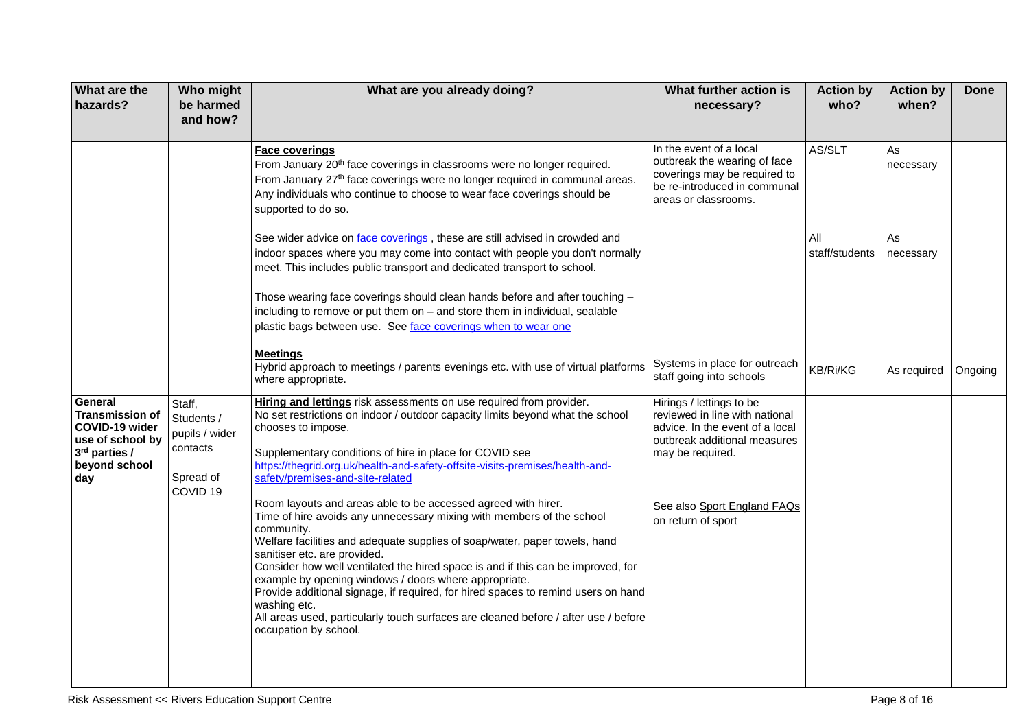| What are the<br>hazards?                                                                                         | Who might<br>be harmed<br>and how?                                                     | What are you already doing?                                                                                                                                                                                                                                                                                                                                                                                                                                                                                                                                                                                                                                                                                                                                                                                                                                                                                                                                                                        | What further action is<br>necessary?                                                                                                                                                                   | <b>Action by</b><br>who? | <b>Action by</b><br>when? | <b>Done</b> |
|------------------------------------------------------------------------------------------------------------------|----------------------------------------------------------------------------------------|----------------------------------------------------------------------------------------------------------------------------------------------------------------------------------------------------------------------------------------------------------------------------------------------------------------------------------------------------------------------------------------------------------------------------------------------------------------------------------------------------------------------------------------------------------------------------------------------------------------------------------------------------------------------------------------------------------------------------------------------------------------------------------------------------------------------------------------------------------------------------------------------------------------------------------------------------------------------------------------------------|--------------------------------------------------------------------------------------------------------------------------------------------------------------------------------------------------------|--------------------------|---------------------------|-------------|
|                                                                                                                  |                                                                                        | <b>Face coverings</b><br>From January 20 <sup>th</sup> face coverings in classrooms were no longer required.<br>From January 27 <sup>th</sup> face coverings were no longer required in communal areas.<br>Any individuals who continue to choose to wear face coverings should be<br>supported to do so.                                                                                                                                                                                                                                                                                                                                                                                                                                                                                                                                                                                                                                                                                          | In the event of a local<br>outbreak the wearing of face<br>coverings may be required to<br>be re-introduced in communal<br>areas or classrooms.                                                        | AS/SLT                   | As<br>necessary           |             |
|                                                                                                                  |                                                                                        | See wider advice on face coverings, these are still advised in crowded and<br>indoor spaces where you may come into contact with people you don't normally<br>meet. This includes public transport and dedicated transport to school.<br>Those wearing face coverings should clean hands before and after touching -<br>including to remove or put them on - and store them in individual, sealable<br>plastic bags between use. See face coverings when to wear one                                                                                                                                                                                                                                                                                                                                                                                                                                                                                                                               |                                                                                                                                                                                                        | All<br>staff/students    | As<br>necessary           |             |
|                                                                                                                  |                                                                                        | <b>Meetings</b><br>Hybrid approach to meetings / parents evenings etc. with use of virtual platforms<br>where appropriate.                                                                                                                                                                                                                                                                                                                                                                                                                                                                                                                                                                                                                                                                                                                                                                                                                                                                         | Systems in place for outreach<br>staff going into schools                                                                                                                                              | <b>KB/Ri/KG</b>          | As required               | Ongoing     |
| General<br><b>Transmission of</b><br>COVID-19 wider<br>use of school by<br>3rd parties /<br>beyond school<br>day | Staff,<br>Students /<br>pupils / wider<br>contacts<br>Spread of<br>COVID <sub>19</sub> | Hiring and lettings risk assessments on use required from provider.<br>No set restrictions on indoor / outdoor capacity limits beyond what the school<br>chooses to impose.<br>Supplementary conditions of hire in place for COVID see<br>https://thegrid.org.uk/health-and-safety-offsite-visits-premises/health-and-<br>safety/premises-and-site-related<br>Room layouts and areas able to be accessed agreed with hirer.<br>Time of hire avoids any unnecessary mixing with members of the school<br>community.<br>Welfare facilities and adequate supplies of soap/water, paper towels, hand<br>sanitiser etc. are provided.<br>Consider how well ventilated the hired space is and if this can be improved, for<br>example by opening windows / doors where appropriate.<br>Provide additional signage, if required, for hired spaces to remind users on hand<br>washing etc.<br>All areas used, particularly touch surfaces are cleaned before / after use / before<br>occupation by school. | Hirings / lettings to be<br>reviewed in line with national<br>advice. In the event of a local<br>outbreak additional measures<br>may be required.<br>See also Sport England FAQs<br>on return of sport |                          |                           |             |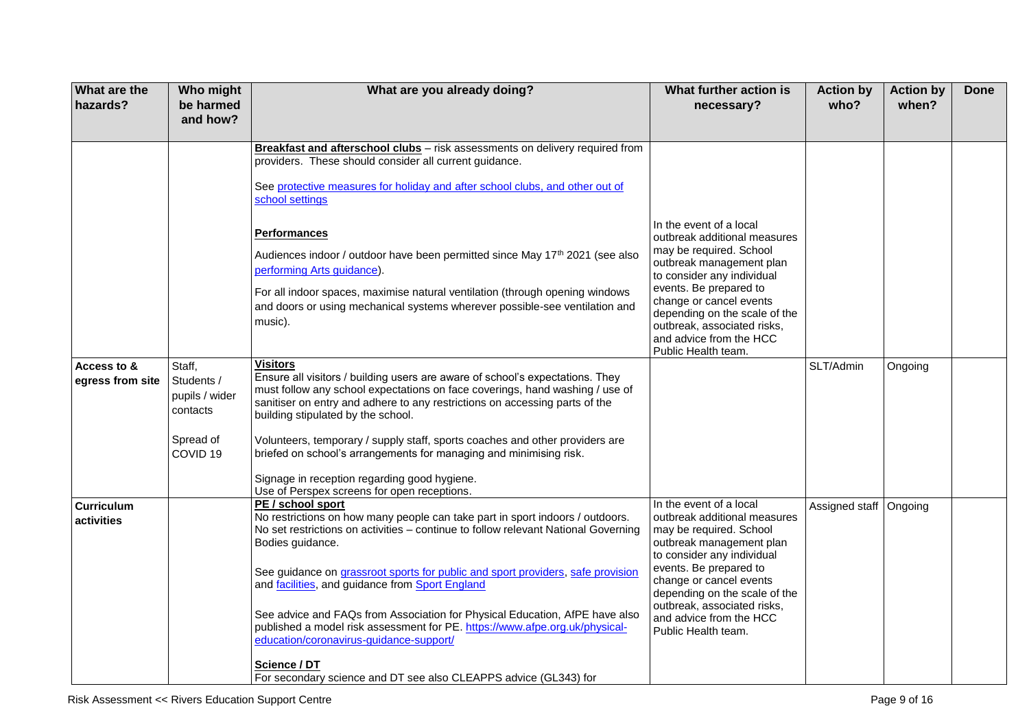| and how?                                                                                                                                                                                                                                                                                                                                                                                        |                          | when?   |  |
|-------------------------------------------------------------------------------------------------------------------------------------------------------------------------------------------------------------------------------------------------------------------------------------------------------------------------------------------------------------------------------------------------|--------------------------|---------|--|
| Breakfast and afterschool clubs - risk assessments on delivery required from                                                                                                                                                                                                                                                                                                                    |                          |         |  |
| providers. These should consider all current guidance.                                                                                                                                                                                                                                                                                                                                          |                          |         |  |
| See protective measures for holiday and after school clubs, and other out of<br>school settings                                                                                                                                                                                                                                                                                                 |                          |         |  |
| In the event of a local<br><b>Performances</b><br>outbreak additional measures                                                                                                                                                                                                                                                                                                                  |                          |         |  |
| may be required. School<br>Audiences indoor / outdoor have been permitted since May 17 <sup>th</sup> 2021 (see also<br>outbreak management plan<br>performing Arts guidance).<br>to consider any individual                                                                                                                                                                                     |                          |         |  |
| events. Be prepared to<br>For all indoor spaces, maximise natural ventilation (through opening windows<br>change or cancel events<br>and doors or using mechanical systems wherever possible-see ventilation and<br>depending on the scale of the<br>music).<br>outbreak, associated risks,<br>and advice from the HCC<br>Public Health team.                                                   |                          |         |  |
| <b>Visitors</b><br>Access to &<br>Staff,                                                                                                                                                                                                                                                                                                                                                        | SLT/Admin                | Ongoing |  |
| Ensure all visitors / building users are aware of school's expectations. They<br>Students /<br>egress from site<br>must follow any school expectations on face coverings, hand washing / use of<br>pupils / wider<br>sanitiser on entry and adhere to any restrictions on accessing parts of the<br>contacts<br>building stipulated by the school.                                              |                          |         |  |
| Spread of<br>Volunteers, temporary / supply staff, sports coaches and other providers are<br>briefed on school's arrangements for managing and minimising risk.<br>COVID <sub>19</sub>                                                                                                                                                                                                          |                          |         |  |
| Signage in reception regarding good hygiene.<br>Use of Perspex screens for open receptions.                                                                                                                                                                                                                                                                                                     |                          |         |  |
| In the event of a local<br>PE / school sport<br><b>Curriculum</b><br>No restrictions on how many people can take part in sport indoors / outdoors.<br>outbreak additional measures<br>activities<br>No set restrictions on activities - continue to follow relevant National Governing<br>may be required. School<br>Bodies guidance.<br>outbreak management plan<br>to consider any individual | Assigned staff   Ongoing |         |  |
| events. Be prepared to<br>See guidance on grassroot sports for public and sport providers, safe provision<br>change or cancel events<br>and facilities, and guidance from Sport England<br>depending on the scale of the<br>outbreak, associated risks,                                                                                                                                         |                          |         |  |
| See advice and FAQs from Association for Physical Education, AfPE have also<br>and advice from the HCC<br>published a model risk assessment for PE. https://www.afpe.org.uk/physical-<br>Public Health team.<br>education/coronavirus-guidance-support/                                                                                                                                         |                          |         |  |
| Science / DT<br>For secondary science and DT see also CLEAPPS advice (GL343) for                                                                                                                                                                                                                                                                                                                |                          |         |  |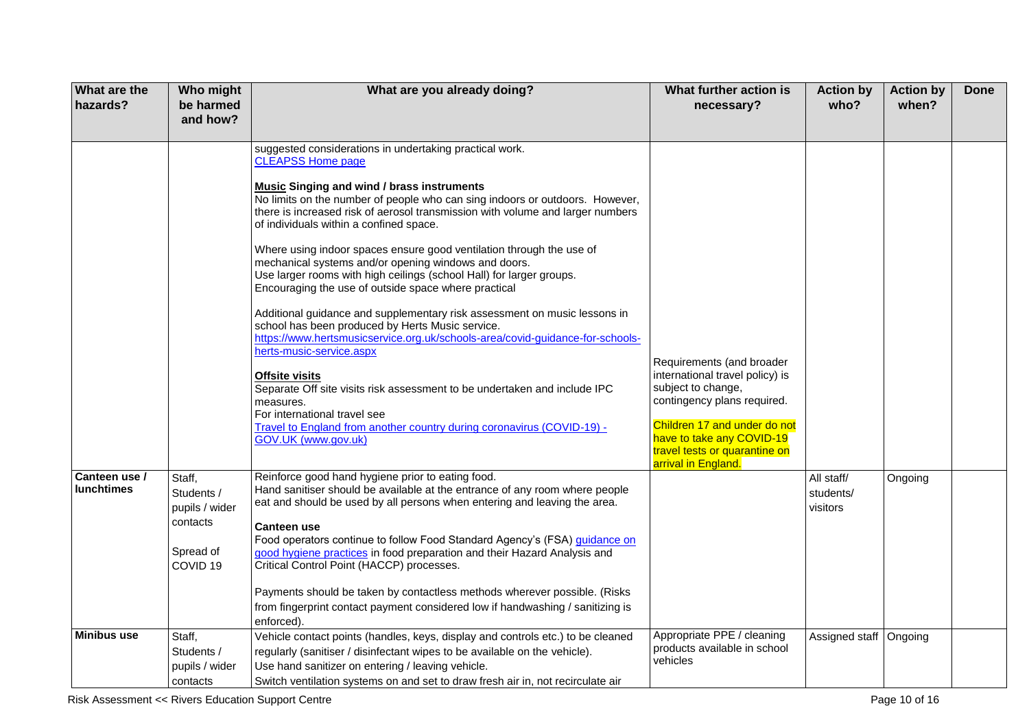| <b>What are the</b><br>hazards?    | Who might<br>be harmed<br>and how?                                                     | What are you already doing?                                                                                                                                                                                                                                                                                                                                                                                                                                                                                                                                                                                                                                                                                                                                                                                                                                                                                                                                                                                                                                                                                             | What further action is<br>necessary?                                                                                                                                                                                                   | <b>Action by</b><br>who?            | <b>Action by</b><br>when? | <b>Done</b> |
|------------------------------------|----------------------------------------------------------------------------------------|-------------------------------------------------------------------------------------------------------------------------------------------------------------------------------------------------------------------------------------------------------------------------------------------------------------------------------------------------------------------------------------------------------------------------------------------------------------------------------------------------------------------------------------------------------------------------------------------------------------------------------------------------------------------------------------------------------------------------------------------------------------------------------------------------------------------------------------------------------------------------------------------------------------------------------------------------------------------------------------------------------------------------------------------------------------------------------------------------------------------------|----------------------------------------------------------------------------------------------------------------------------------------------------------------------------------------------------------------------------------------|-------------------------------------|---------------------------|-------------|
|                                    |                                                                                        | suggested considerations in undertaking practical work.<br><b>CLEAPSS Home page</b><br><b>Music Singing and wind / brass instruments</b><br>No limits on the number of people who can sing indoors or outdoors. However,<br>there is increased risk of aerosol transmission with volume and larger numbers<br>of individuals within a confined space.<br>Where using indoor spaces ensure good ventilation through the use of<br>mechanical systems and/or opening windows and doors.<br>Use larger rooms with high ceilings (school Hall) for larger groups.<br>Encouraging the use of outside space where practical<br>Additional guidance and supplementary risk assessment on music lessons in<br>school has been produced by Herts Music service.<br>https://www.hertsmusicservice.org.uk/schools-area/covid-quidance-for-schools-<br>herts-music-service.aspx<br><b>Offsite visits</b><br>Separate Off site visits risk assessment to be undertaken and include IPC<br>measures.<br>For international travel see<br>Travel to England from another country during coronavirus (COVID-19) -<br>GOV.UK (www.gov.uk) | Requirements (and broader<br>international travel policy) is<br>subject to change,<br>contingency plans required.<br>Children 17 and under do not<br>have to take any COVID-19<br>travel tests or quarantine on<br>arrival in England. |                                     |                           |             |
| Canteen use /<br><b>lunchtimes</b> | Staff,<br>Students /<br>pupils / wider<br>contacts<br>Spread of<br>COVID <sub>19</sub> | Reinforce good hand hygiene prior to eating food.<br>Hand sanitiser should be available at the entrance of any room where people<br>eat and should be used by all persons when entering and leaving the area.<br><b>Canteen use</b><br>Food operators continue to follow Food Standard Agency's (FSA) guidance on<br>good hygiene practices in food preparation and their Hazard Analysis and<br>Critical Control Point (HACCP) processes.<br>Payments should be taken by contactless methods wherever possible. (Risks<br>from fingerprint contact payment considered low if handwashing / sanitizing is<br>enforced).                                                                                                                                                                                                                                                                                                                                                                                                                                                                                                 |                                                                                                                                                                                                                                        | All staff/<br>students/<br>visitors | Ongoing                   |             |
| <b>Minibus use</b>                 | Staff,<br>Students /<br>pupils / wider<br>contacts                                     | Vehicle contact points (handles, keys, display and controls etc.) to be cleaned<br>regularly (sanitiser / disinfectant wipes to be available on the vehicle).<br>Use hand sanitizer on entering / leaving vehicle.<br>Switch ventilation systems on and set to draw fresh air in, not recirculate air                                                                                                                                                                                                                                                                                                                                                                                                                                                                                                                                                                                                                                                                                                                                                                                                                   | Appropriate PPE / cleaning<br>products available in school<br>vehicles                                                                                                                                                                 | Assigned staff   Ongoing            |                           |             |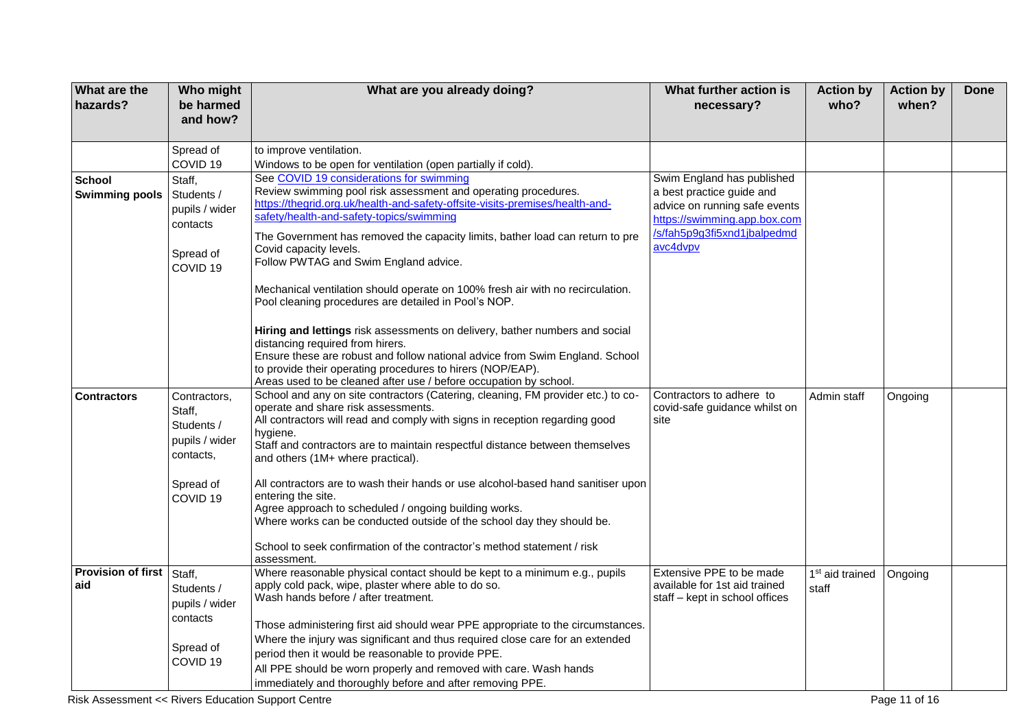| <b>What are the</b><br>hazards?        | Who might<br>be harmed<br>and how?                                                     | What are you already doing?                                                                                                                                                                                                                                                                                                                                                                                                                                                  | What further action is<br>necessary?                                                                                                                                | <b>Action by</b><br>who?             | <b>Action by</b><br>when? | <b>Done</b> |
|----------------------------------------|----------------------------------------------------------------------------------------|------------------------------------------------------------------------------------------------------------------------------------------------------------------------------------------------------------------------------------------------------------------------------------------------------------------------------------------------------------------------------------------------------------------------------------------------------------------------------|---------------------------------------------------------------------------------------------------------------------------------------------------------------------|--------------------------------------|---------------------------|-------------|
|                                        | Spread of                                                                              | to improve ventilation.                                                                                                                                                                                                                                                                                                                                                                                                                                                      |                                                                                                                                                                     |                                      |                           |             |
|                                        | COVID <sub>19</sub>                                                                    | Windows to be open for ventilation (open partially if cold).                                                                                                                                                                                                                                                                                                                                                                                                                 |                                                                                                                                                                     |                                      |                           |             |
| <b>School</b><br><b>Swimming pools</b> | Staff,<br>Students /<br>pupils / wider<br>contacts<br>Spread of<br>COVID <sub>19</sub> | See COVID 19 considerations for swimming<br>Review swimming pool risk assessment and operating procedures.<br>https://thegrid.org.uk/health-and-safety-offsite-visits-premises/health-and-<br>safety/health-and-safety-topics/swimming<br>The Government has removed the capacity limits, bather load can return to pre<br>Covid capacity levels.<br>Follow PWTAG and Swim England advice.<br>Mechanical ventilation should operate on 100% fresh air with no recirculation. | Swim England has published<br>a best practice guide and<br>advice on running safe events<br>https://swimming.app.box.com<br>/s/fah5p9g3fi5xnd1jbalpedmd<br>avc4dvpv |                                      |                           |             |
|                                        |                                                                                        | Pool cleaning procedures are detailed in Pool's NOP.<br>Hiring and lettings risk assessments on delivery, bather numbers and social<br>distancing required from hirers.<br>Ensure these are robust and follow national advice from Swim England. School<br>to provide their operating procedures to hirers (NOP/EAP).<br>Areas used to be cleaned after use / before occupation by school.                                                                                   |                                                                                                                                                                     |                                      |                           |             |
| <b>Contractors</b>                     | Contractors,<br>Staff,<br>Students /<br>pupils / wider<br>contacts,                    | School and any on site contractors (Catering, cleaning, FM provider etc.) to co-<br>operate and share risk assessments.<br>All contractors will read and comply with signs in reception regarding good<br>hygiene.<br>Staff and contractors are to maintain respectful distance between themselves<br>and others (1M+ where practical).                                                                                                                                      | Contractors to adhere to<br>covid-safe guidance whilst on<br>site                                                                                                   | Admin staff                          | Ongoing                   |             |
|                                        | Spread of<br>COVID <sub>19</sub>                                                       | All contractors are to wash their hands or use alcohol-based hand sanitiser upon<br>entering the site.<br>Agree approach to scheduled / ongoing building works.<br>Where works can be conducted outside of the school day they should be.                                                                                                                                                                                                                                    |                                                                                                                                                                     |                                      |                           |             |
|                                        |                                                                                        | School to seek confirmation of the contractor's method statement / risk<br>assessment.                                                                                                                                                                                                                                                                                                                                                                                       |                                                                                                                                                                     |                                      |                           |             |
| <b>Provision of first</b><br>aid       | Staff,<br>Students /<br>pupils / wider<br>contacts                                     | Where reasonable physical contact should be kept to a minimum e.g., pupils<br>apply cold pack, wipe, plaster where able to do so.<br>Wash hands before / after treatment.                                                                                                                                                                                                                                                                                                    | Extensive PPE to be made<br>available for 1st aid trained<br>staff – kept in school offices                                                                         | 1 <sup>st</sup> aid trained<br>staff | Ongoing                   |             |
|                                        | Spread of<br>COVID <sub>19</sub>                                                       | Those administering first aid should wear PPE appropriate to the circumstances.<br>Where the injury was significant and thus required close care for an extended<br>period then it would be reasonable to provide PPE.<br>All PPE should be worn properly and removed with care. Wash hands<br>immediately and thoroughly before and after removing PPE.                                                                                                                     |                                                                                                                                                                     |                                      |                           |             |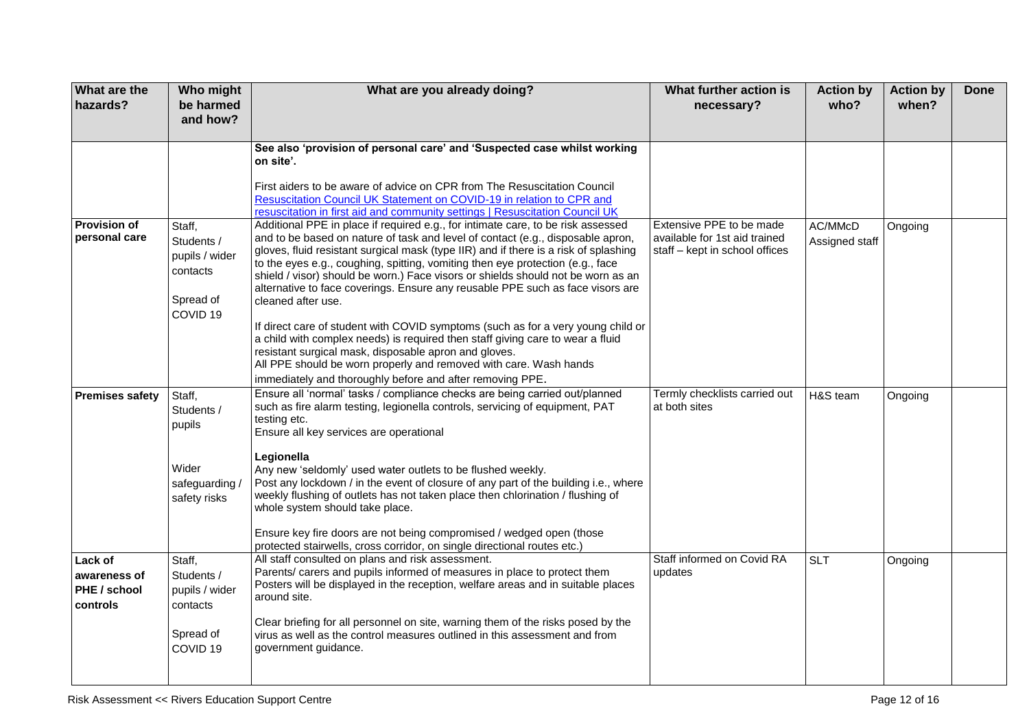| <b>What are the</b><br>hazards?                     | Who might<br>be harmed<br>and how?                                                     | What are you already doing?                                                                                                                                                                                                                                                                                                                                                                                                                                                                                                                                                                                                                                                                                                                                                                                                                                                                                | What further action is<br>necessary?                                                        | <b>Action by</b><br>who?  | <b>Action by</b><br>when? | <b>Done</b> |
|-----------------------------------------------------|----------------------------------------------------------------------------------------|------------------------------------------------------------------------------------------------------------------------------------------------------------------------------------------------------------------------------------------------------------------------------------------------------------------------------------------------------------------------------------------------------------------------------------------------------------------------------------------------------------------------------------------------------------------------------------------------------------------------------------------------------------------------------------------------------------------------------------------------------------------------------------------------------------------------------------------------------------------------------------------------------------|---------------------------------------------------------------------------------------------|---------------------------|---------------------------|-------------|
|                                                     |                                                                                        | See also 'provision of personal care' and 'Suspected case whilst working<br>on site'.<br>First aiders to be aware of advice on CPR from The Resuscitation Council<br>Resuscitation Council UK Statement on COVID-19 in relation to CPR and<br>resuscitation in first aid and community settings   Resuscitation Council UK                                                                                                                                                                                                                                                                                                                                                                                                                                                                                                                                                                                 |                                                                                             |                           |                           |             |
| <b>Provision of</b><br>personal care                | Staff,<br>Students /<br>pupils / wider<br>contacts<br>Spread of<br>COVID <sub>19</sub> | Additional PPE in place if required e.g., for intimate care, to be risk assessed<br>and to be based on nature of task and level of contact (e.g., disposable apron,<br>gloves, fluid resistant surgical mask (type IIR) and if there is a risk of splashing<br>to the eyes e.g., coughing, spitting, vomiting then eye protection (e.g., face<br>shield / visor) should be worn.) Face visors or shields should not be worn as an<br>alternative to face coverings. Ensure any reusable PPE such as face visors are<br>cleaned after use.<br>If direct care of student with COVID symptoms (such as for a very young child or<br>a child with complex needs) is required then staff giving care to wear a fluid<br>resistant surgical mask, disposable apron and gloves.<br>All PPE should be worn properly and removed with care. Wash hands<br>immediately and thoroughly before and after removing PPE. | Extensive PPE to be made<br>available for 1st aid trained<br>staff - kept in school offices | AC/MMcD<br>Assigned staff | Ongoing                   |             |
| <b>Premises safety</b>                              | Staff,<br>Students /<br>pupils<br>Wider<br>safeguarding/<br>safety risks               | Ensure all 'normal' tasks / compliance checks are being carried out/planned<br>such as fire alarm testing, legionella controls, servicing of equipment, PAT<br>testing etc.<br>Ensure all key services are operational<br>Legionella<br>Any new 'seldomly' used water outlets to be flushed weekly.<br>Post any lockdown / in the event of closure of any part of the building i.e., where<br>weekly flushing of outlets has not taken place then chlorination / flushing of<br>whole system should take place.<br>Ensure key fire doors are not being compromised / wedged open (those<br>protected stairwells, cross corridor, on single directional routes etc.)                                                                                                                                                                                                                                        | Termly checklists carried out<br>at both sites                                              | H&S team                  | Ongoing                   |             |
| Lack of<br>awareness of<br>PHE / school<br>controls | Staff,<br>Students /<br>pupils / wider<br>contacts<br>Spread of<br>COVID <sub>19</sub> | All staff consulted on plans and risk assessment.<br>Parents/ carers and pupils informed of measures in place to protect them<br>Posters will be displayed in the reception, welfare areas and in suitable places<br>around site.<br>Clear briefing for all personnel on site, warning them of the risks posed by the<br>virus as well as the control measures outlined in this assessment and from<br>government guidance.                                                                                                                                                                                                                                                                                                                                                                                                                                                                                | Staff informed on Covid RA<br>updates                                                       | <b>SLT</b>                | Ongoing                   |             |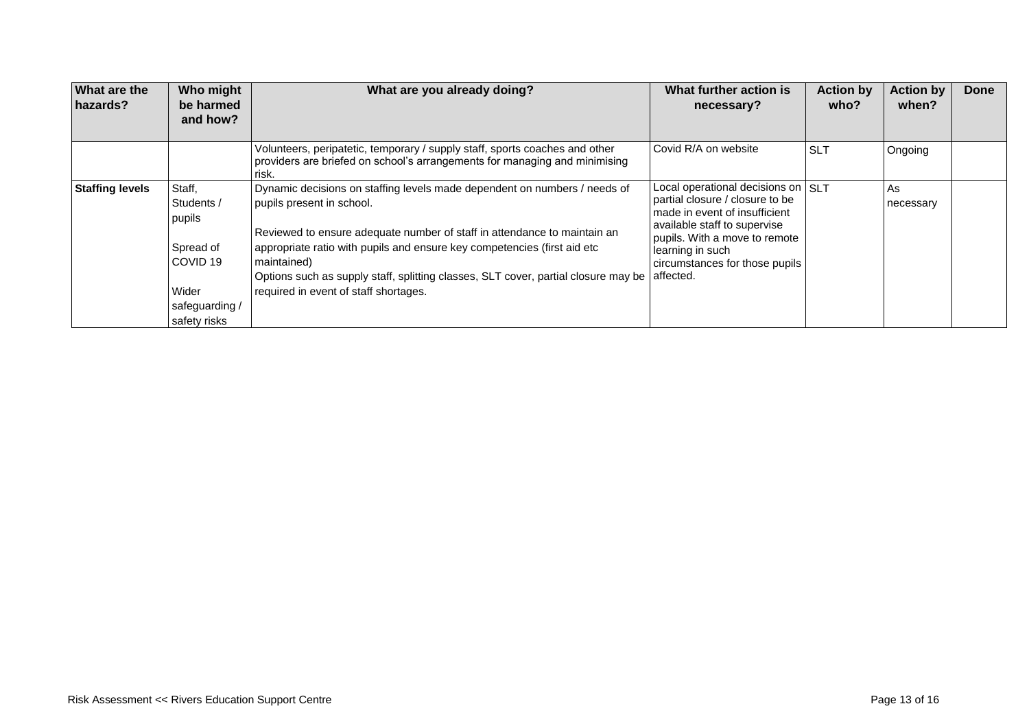| What are the<br>hazards? | Who might<br>be harmed<br>and how?                                                                            | What are you already doing?                                                                                                                                                                                                                                                                                                                                                                                   | What further action is<br>necessary?                                                                                                                                                                                                       | <b>Action by</b><br>who? | <b>Action by</b><br>when? | Done |
|--------------------------|---------------------------------------------------------------------------------------------------------------|---------------------------------------------------------------------------------------------------------------------------------------------------------------------------------------------------------------------------------------------------------------------------------------------------------------------------------------------------------------------------------------------------------------|--------------------------------------------------------------------------------------------------------------------------------------------------------------------------------------------------------------------------------------------|--------------------------|---------------------------|------|
|                          |                                                                                                               | Volunteers, peripatetic, temporary / supply staff, sports coaches and other<br>providers are briefed on school's arrangements for managing and minimising<br>risk.                                                                                                                                                                                                                                            | Covid R/A on website                                                                                                                                                                                                                       | <b>SLT</b>               | Ongoing                   |      |
| <b>Staffing levels</b>   | Staff,<br>Students /<br>pupils<br>Spread of<br>COVID <sub>19</sub><br>Wider<br>safeguarding /<br>safety risks | Dynamic decisions on staffing levels made dependent on numbers / needs of<br>pupils present in school.<br>Reviewed to ensure adequate number of staff in attendance to maintain an<br>appropriate ratio with pupils and ensure key competencies (first aid etc.<br>maintained)<br>Options such as supply staff, splitting classes, SLT cover, partial closure may be<br>required in event of staff shortages. | Local operational decisions on SLT<br>partial closure / closure to be<br>made in event of insufficient<br>available staff to supervise<br>pupils. With a move to remote<br>learning in such<br>circumstances for those pupils<br>affected. |                          | As<br>necessary           |      |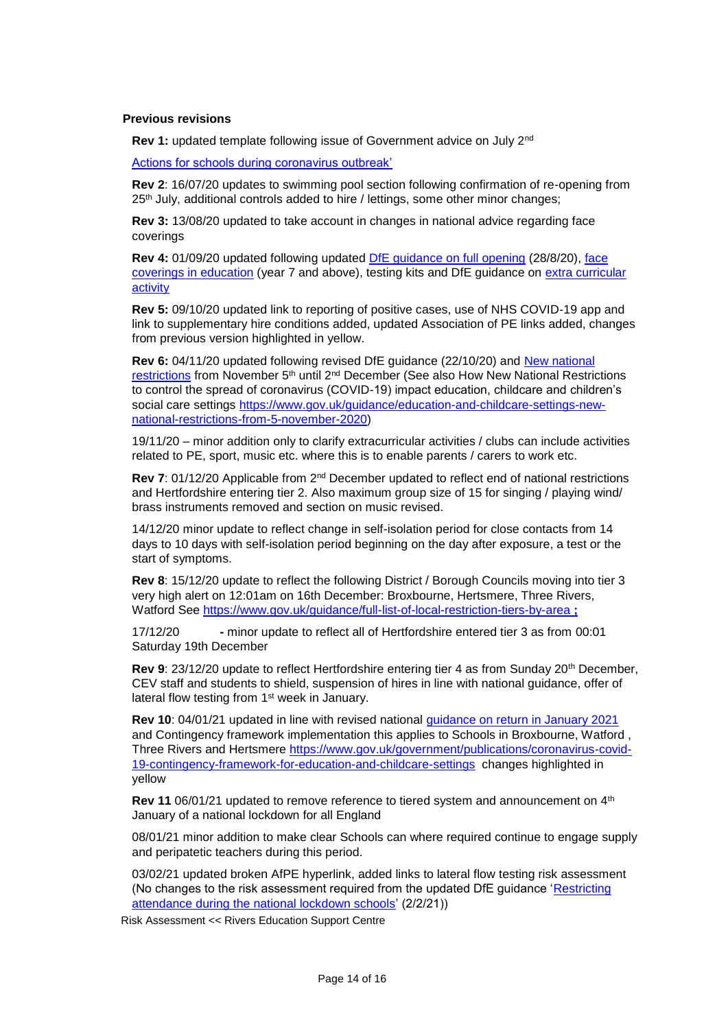#### **Previous revisions**

**Rev 1:** updated template following issue of Government advice on July 2nd

[Actions for schools during coronavirus outbreak'](https://www.gov.uk/government/publications/actions-for-schools-during-the-coronavirus-outbreak)

**Rev 2**: 16/07/20 updates to swimming pool section following confirmation of re-opening from 25<sup>th</sup> July, additional controls added to hire / lettings, some other minor changes;

**Rev 3:** 13/08/20 updated to take account in changes in national advice regarding face coverings

**Rev 4:** 01/09/20 updated following updated [DfE guidance on full opening](https://www.gov.uk/government/publications/actions-for-schools-during-the-coronavirus-outbreak/guidance-for-full-opening-schools) (28/8/20), [face](https://www.gov.uk/government/publications/face-coverings-in-education)  [coverings in education](https://www.gov.uk/government/publications/face-coverings-in-education) (year 7 and above), testing kits and DfE guidance on [extra curricular](https://www.gov.uk/government/publications/protective-measures-for-holiday-or-after-school-clubs-and-other-out-of-school-settings-for-children-during-the-coronavirus-covid-19-outbreak/protective-measures-for-out-of-school-settings-during-the-coronavirus-covid-19-outbreak)  [activity](https://www.gov.uk/government/publications/protective-measures-for-holiday-or-after-school-clubs-and-other-out-of-school-settings-for-children-during-the-coronavirus-covid-19-outbreak/protective-measures-for-out-of-school-settings-during-the-coronavirus-covid-19-outbreak)

**Rev 5:** 09/10/20 updated link to reporting of positive cases, use of NHS COVID-19 app and link to supplementary hire conditions added, updated Association of PE links added, changes from previous version highlighted in yellow.

**Rev 6:** 04/11/20 updated following revised DfE guidance (22/10/20) and [New national](https://www.gov.uk/guidance/new-national-restrictions-from-5-november)  [restrictions](https://www.gov.uk/guidance/new-national-restrictions-from-5-november) from November 5<sup>th</sup> until 2<sup>nd</sup> December (See also How New National Restrictions to control the spread of coronavirus (COVID-19) impact education, childcare and children's social care settings [https://www.gov.uk/guidance/education-and-childcare-settings-new](https://www.gov.uk/guidance/education-and-childcare-settings-new-national-restrictions-from-5-november-2020)[national-restrictions-from-5-november-2020\)](https://www.gov.uk/guidance/education-and-childcare-settings-new-national-restrictions-from-5-november-2020)

19/11/20 – minor addition only to clarify extracurricular activities / clubs can include activities related to PE, sport, music etc. where this is to enable parents / carers to work etc.

**Rev 7**: 01/12/20 Applicable from 2nd December updated to reflect end of national restrictions and Hertfordshire entering tier 2. Also maximum group size of 15 for singing / playing wind/ brass instruments removed and section on music revised.

14/12/20 minor update to reflect change in self-isolation period for close contacts from 14 days to 10 days with self-isolation period beginning on the day after exposure, a test or the start of symptoms.

**Rev 8**: 15/12/20 update to reflect the following District / Borough Councils moving into tier 3 very high alert on 12:01am on 16th December: Broxbourne, Hertsmere, Three Rivers, Watford See<https://www.gov.uk/guidance/full-list-of-local-restriction-tiers-by-area> **;** 

17/12/20 **-** minor update to reflect all of Hertfordshire entered tier 3 as from 00:01 Saturday 19th December

**Rev 9**: 23/12/20 update to reflect Hertfordshire entering tier 4 as from Sunday 20th December, CEV staff and students to shield, suspension of hires in line with national guidance, offer of lateral flow testing from 1<sup>st</sup> week in January.

**Rev 10**: 04/01/21 updated in line with revised national [guidance on return in January 2021](https://www.gov.uk/government/publications/schools-and-childcare-settings-return-in-january-2021/schools-and-childcare-settings-return-in-january-2021) and Contingency framework implementation this applies to Schools in Broxbourne, Watford , Three Rivers and Hertsmere [https://www.gov.uk/government/publications/coronavirus-covid-](https://www.gov.uk/government/publications/coronavirus-covid-19-contingency-framework-for-education-and-childcare-settings)[19-contingency-framework-for-education-and-childcare-settings](https://www.gov.uk/government/publications/coronavirus-covid-19-contingency-framework-for-education-and-childcare-settings) changes highlighted in yellow

**Rev 11** 06/01/21 updated to remove reference to tiered system and announcement on 4<sup>th</sup> January of a national lockdown for all England

08/01/21 minor addition to make clear Schools can where required continue to engage supply and peripatetic teachers during this period.

03/02/21 updated broken AfPE hyperlink, added links to lateral flow testing risk assessment (No changes to the risk assessment required from the updated DfE guidance 'Restricting [attendance during the national lockdown schools'](https://assets.publishing.service.gov.uk/government/uploads/system/uploads/attachment_data/file/957766/Restricting_attendance_during_the_national_lockdown-_schools.pdf) (2/2/21))

Risk Assessment << Rivers Education Support Centre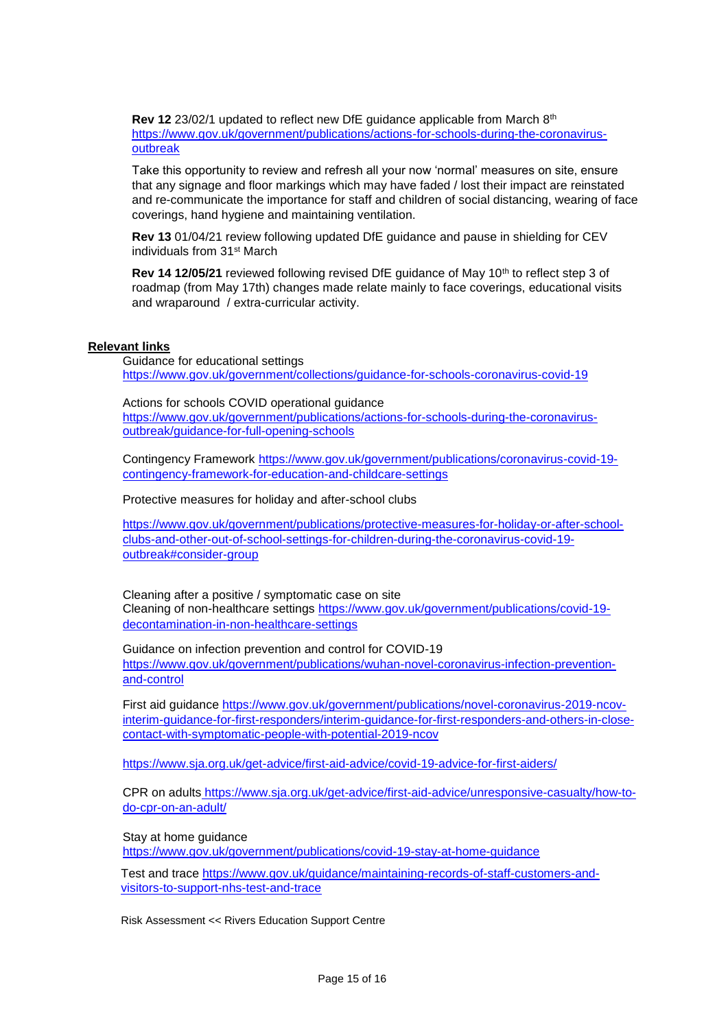**Rev 12** 23/02/1 updated to reflect new DfE guidance applicable from March 8th [https://www.gov.uk/government/publications/actions-for-schools-during-the-coronavirus](https://www.gov.uk/government/publications/actions-for-schools-during-the-coronavirus-outbreak)[outbreak](https://www.gov.uk/government/publications/actions-for-schools-during-the-coronavirus-outbreak)

Take this opportunity to review and refresh all your now 'normal' measures on site, ensure that any signage and floor markings which may have faded / lost their impact are reinstated and re-communicate the importance for staff and children of social distancing, wearing of face coverings, hand hygiene and maintaining ventilation.

**Rev 13** 01/04/21 review following updated DfE guidance and pause in shielding for CEV individuals from 31st March

**Rev 14 12/05/21** reviewed following revised DfE guidance of May 10<sup>th</sup> to reflect step 3 of roadmap (from May 17th) changes made relate mainly to face coverings, educational visits and wraparound / extra-curricular activity.

#### **Relevant links**

Guidance for educational settings <https://www.gov.uk/government/collections/guidance-for-schools-coronavirus-covid-19>

Actions for schools COVID operational guidance [https://www.gov.uk/government/publications/actions-for-schools-during-the-coronavirus](https://www.gov.uk/government/publications/actions-for-schools-during-the-coronavirus-outbreak/guidance-for-full-opening-schools)[outbreak/guidance-for-full-opening-schools](https://www.gov.uk/government/publications/actions-for-schools-during-the-coronavirus-outbreak/guidance-for-full-opening-schools)

Contingency Framework [https://www.gov.uk/government/publications/coronavirus-covid-19](https://www.gov.uk/government/publications/coronavirus-covid-19-contingency-framework-for-education-and-childcare-settings) [contingency-framework-for-education-and-childcare-settings](https://www.gov.uk/government/publications/coronavirus-covid-19-contingency-framework-for-education-and-childcare-settings)

Protective measures for holiday and after-school clubs

[https://www.gov.uk/government/publications/protective-measures-for-holiday-or-after-school](https://www.gov.uk/government/publications/protective-measures-for-holiday-or-after-school-clubs-and-other-out-of-school-settings-for-children-during-the-coronavirus-covid-19-outbreak#consider-group)[clubs-and-other-out-of-school-settings-for-children-during-the-coronavirus-covid-19](https://www.gov.uk/government/publications/protective-measures-for-holiday-or-after-school-clubs-and-other-out-of-school-settings-for-children-during-the-coronavirus-covid-19-outbreak#consider-group) [outbreak#consider-group](https://www.gov.uk/government/publications/protective-measures-for-holiday-or-after-school-clubs-and-other-out-of-school-settings-for-children-during-the-coronavirus-covid-19-outbreak#consider-group)

Cleaning after a positive / symptomatic case on site Cleaning of non-healthcare settings [https://www.gov.uk/government/publications/covid-19](https://www.gov.uk/government/publications/covid-19-decontamination-in-non-healthcare-settings) [decontamination-in-non-healthcare-settings](https://www.gov.uk/government/publications/covid-19-decontamination-in-non-healthcare-settings)

Guidance on infection prevention and control for COVID-19 [https://www.gov.uk/government/publications/wuhan-novel-coronavirus-infection-prevention](https://www.gov.uk/government/publications/wuhan-novel-coronavirus-infection-prevention-and-control)[and-control](https://www.gov.uk/government/publications/wuhan-novel-coronavirus-infection-prevention-and-control)

First aid guidance [https://www.gov.uk/government/publications/novel-coronavirus-2019-ncov](https://www.gov.uk/government/publications/novel-coronavirus-2019-ncov-interim-guidance-for-first-responders/interim-guidance-for-first-responders-and-others-in-close-contact-with-symptomatic-people-with-potential-2019-ncov)[interim-guidance-for-first-responders/interim-guidance-for-first-responders-and-others-in-close](https://www.gov.uk/government/publications/novel-coronavirus-2019-ncov-interim-guidance-for-first-responders/interim-guidance-for-first-responders-and-others-in-close-contact-with-symptomatic-people-with-potential-2019-ncov)[contact-with-symptomatic-people-with-potential-2019-ncov](https://www.gov.uk/government/publications/novel-coronavirus-2019-ncov-interim-guidance-for-first-responders/interim-guidance-for-first-responders-and-others-in-close-contact-with-symptomatic-people-with-potential-2019-ncov)

<https://www.sja.org.uk/get-advice/first-aid-advice/covid-19-advice-for-first-aiders/>

CPR on adults https://www.sja.org.uk/get-advice/first-aid-advice/unresponsive-casualty/how-todo-cpr-on-an-adult/

Stay at home guidance

<https://www.gov.uk/government/publications/covid-19-stay-at-home-guidance>

Test and trace [https://www.gov.uk/guidance/maintaining-records-of-staff-customers-and](https://www.gov.uk/guidance/maintaining-records-of-staff-customers-and-visitors-to-support-nhs-test-and-trace)[visitors-to-support-nhs-test-and-trace](https://www.gov.uk/guidance/maintaining-records-of-staff-customers-and-visitors-to-support-nhs-test-and-trace)

Risk Assessment << Rivers Education Support Centre